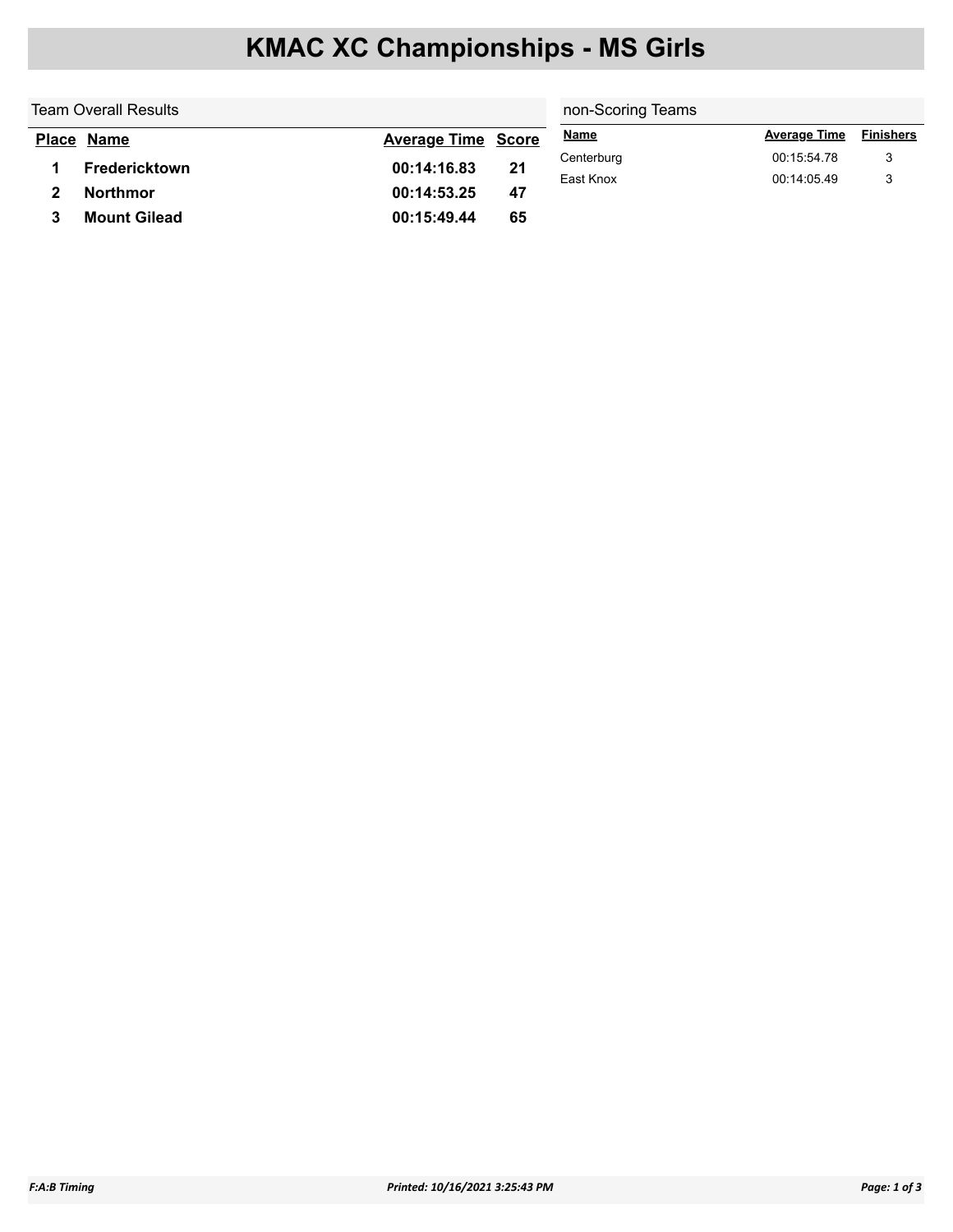# **KMAC XC Championships - MS Girls**

| <b>Team Overall Results</b> |                     |                           |    | non-Scoring Teams       |                            |                  |  |
|-----------------------------|---------------------|---------------------------|----|-------------------------|----------------------------|------------------|--|
|                             | Place Name          | <b>Average Time Score</b> |    | <u>Name</u>             | <b>Average Time</b>        | <b>Finishers</b> |  |
|                             | Fredericktown       | 00:14:16.83               | 21 | Centerburg<br>East Knox | 00:15:54.78<br>00:14:05.49 | 3                |  |
|                             | <b>Northmor</b>     | 00:14:53.25               | 47 |                         |                            |                  |  |
|                             | <b>Mount Gilead</b> | 00:15:49.44               | 65 |                         |                            |                  |  |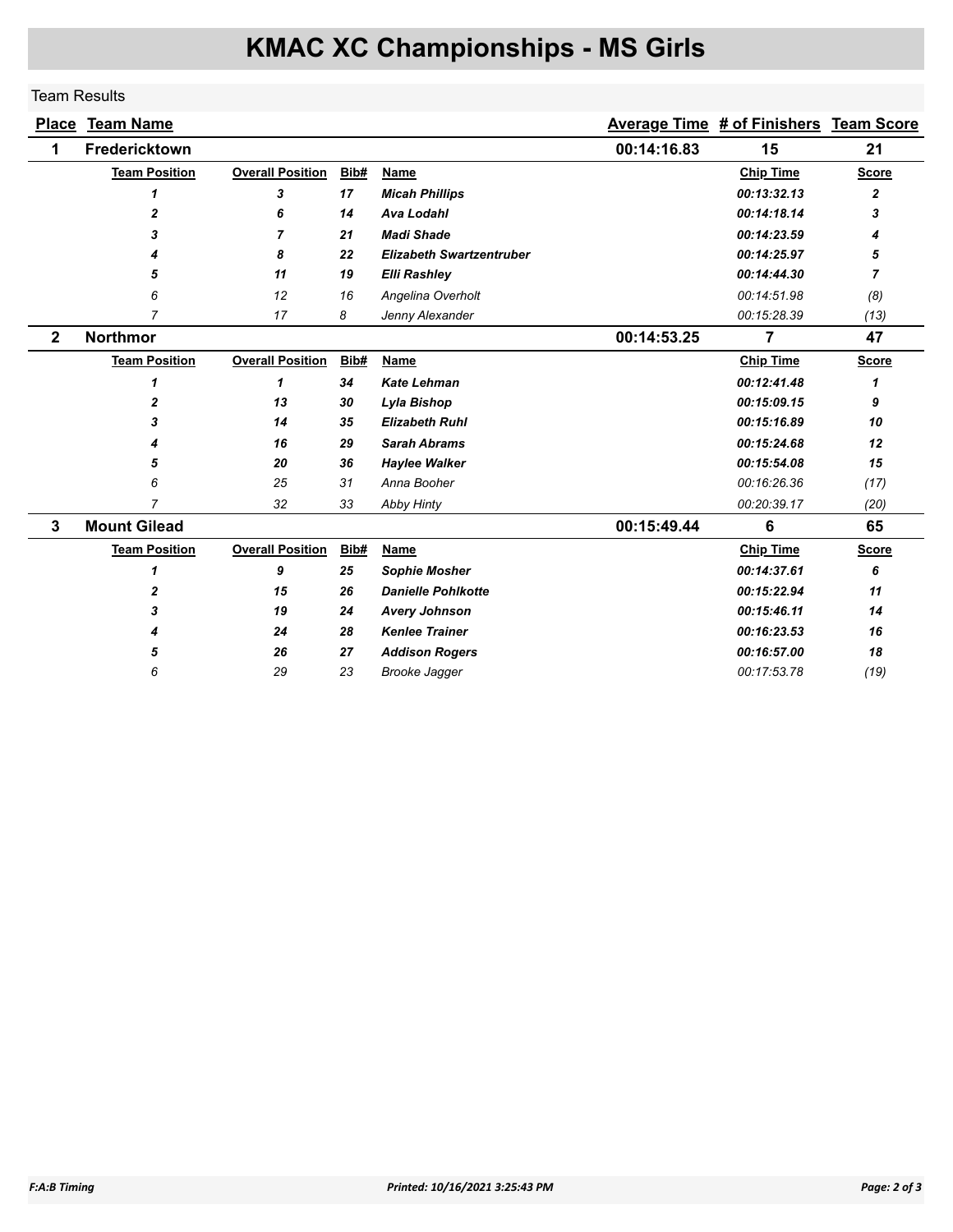# **KMAC XC Championships - MS Girls**

### Team Results

|              | <b>Place Team Name</b> |                         |      |                                 |             | <b>Average Time # of Finishers Team Score</b> |              |
|--------------|------------------------|-------------------------|------|---------------------------------|-------------|-----------------------------------------------|--------------|
| 1            | Fredericktown          |                         |      |                                 | 00:14:16.83 | 15                                            | 21           |
|              | <b>Team Position</b>   | <b>Overall Position</b> | Bib# | Name                            |             | <b>Chip Time</b>                              | <b>Score</b> |
|              | 1                      | 3                       | 17   | <b>Micah Phillips</b>           |             | 00:13:32.13                                   | 2            |
|              | $\overline{2}$         | 6                       | 14   | <b>Ava Lodahl</b>               |             | 00:14:18.14                                   | 3            |
|              | 3                      | 7                       | 21   | <b>Madi Shade</b>               |             | 00:14:23.59                                   | 4            |
|              |                        | 8                       | 22   | <b>Elizabeth Swartzentruber</b> |             | 00:14:25.97                                   | 5            |
|              | 5                      | 11                      | 19   | <b>Elli Rashley</b>             |             | 00:14:44.30                                   | 7            |
|              | 6                      | 12                      | 16   | Angelina Overholt               |             | 00:14:51.98                                   | (8)          |
|              | $\overline{7}$         | 17                      | 8    | Jenny Alexander                 |             | 00:15:28.39                                   | (13)         |
| $\mathbf{2}$ | <b>Northmor</b>        |                         |      |                                 | 00:14:53.25 | $\overline{7}$                                | 47           |
|              | <b>Team Position</b>   | <b>Overall Position</b> | Bib# | Name                            |             | <b>Chip Time</b>                              | <b>Score</b> |
|              | 1                      | 1                       | 34   | <b>Kate Lehman</b>              |             | 00:12:41.48                                   | 1            |
|              | $\mathbf{2}$           | 13                      | 30   | Lyla Bishop                     |             | 00:15:09.15                                   | 9            |
|              | 3                      | 14                      | 35   | <b>Elizabeth Ruhl</b>           |             | 00:15:16.89                                   | 10           |
|              |                        | 16                      | 29   | <b>Sarah Abrams</b>             |             | 00:15:24.68                                   | 12           |
|              | 5                      | 20                      | 36   | <b>Haylee Walker</b>            |             | 00:15:54.08                                   | 15           |
|              | 6                      | 25                      | 31   | Anna Booher                     |             | 00:16:26.36                                   | (17)         |
|              | 7                      | 32                      | 33   | <b>Abby Hinty</b>               |             | 00:20:39.17                                   | (20)         |
| $\mathbf{3}$ | <b>Mount Gilead</b>    |                         |      |                                 | 00:15:49.44 | 6                                             | 65           |
|              | <b>Team Position</b>   | <b>Overall Position</b> | Bib# | Name                            |             | <b>Chip Time</b>                              | <b>Score</b> |
|              | $\mathbf{1}$           | 9                       | 25   | <b>Sophie Mosher</b>            |             | 00:14:37.61                                   | 6            |
|              | $\mathbf{2}$           | 15                      | 26   | <b>Danielle Pohlkotte</b>       |             | 00:15:22.94                                   | 11           |
|              | 3                      | 19                      | 24   | <b>Avery Johnson</b>            |             | 00:15:46.11                                   | 14           |
|              | 4                      | 24                      | 28   | <b>Kenlee Trainer</b>           |             | 00:16:23.53                                   | 16           |
|              | 5                      | 26                      | 27   | <b>Addison Rogers</b>           |             | 00:16:57.00                                   | 18           |
|              | 6                      | 29                      | 23   | <b>Brooke Jagger</b>            |             | 00:17:53.78                                   | (19)         |